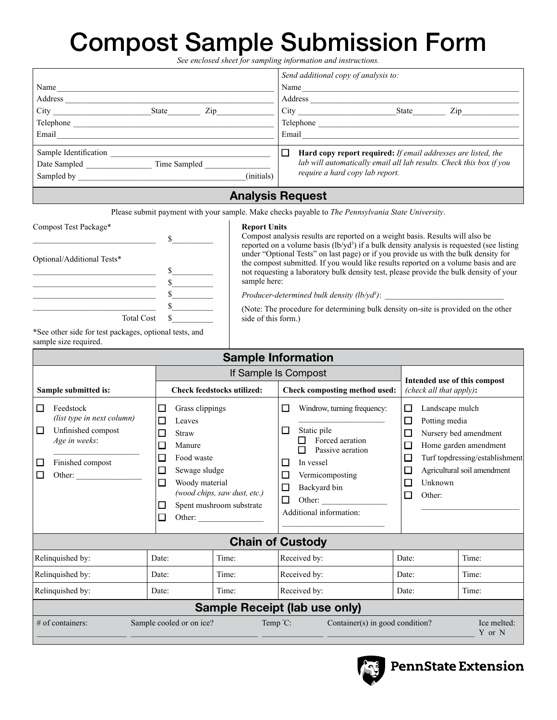# Compost Sample Submission Form

|                                                                                                                                                                                                                                                                                                                                                                                                                                                                                                                                                                                                                                                                                                                                                                                                                                                                                                                                                                                                                                                                                                                                                                                                                                          |                                                                                                                       | See enclosed sheet for sampling information and instructions.                                                                                                                                                                                                                                                                                                                    |                                                                                                                                                                                   |  |  |  |
|------------------------------------------------------------------------------------------------------------------------------------------------------------------------------------------------------------------------------------------------------------------------------------------------------------------------------------------------------------------------------------------------------------------------------------------------------------------------------------------------------------------------------------------------------------------------------------------------------------------------------------------------------------------------------------------------------------------------------------------------------------------------------------------------------------------------------------------------------------------------------------------------------------------------------------------------------------------------------------------------------------------------------------------------------------------------------------------------------------------------------------------------------------------------------------------------------------------------------------------|-----------------------------------------------------------------------------------------------------------------------|----------------------------------------------------------------------------------------------------------------------------------------------------------------------------------------------------------------------------------------------------------------------------------------------------------------------------------------------------------------------------------|-----------------------------------------------------------------------------------------------------------------------------------------------------------------------------------|--|--|--|
| Name                                                                                                                                                                                                                                                                                                                                                                                                                                                                                                                                                                                                                                                                                                                                                                                                                                                                                                                                                                                                                                                                                                                                                                                                                                     | (initials)                                                                                                            | Send additional copy of analysis to:<br>Email and the contract of the contract of the contract of the contract of the contract of the contract of the contract of the contract of the contract of the contract of the contract of the contract of the contract of the<br>$\Box$ Hard copy report required: If email addresses are listed, the<br>require a hard copy lab report. | lab will automatically email all lab results. Check this box if you                                                                                                               |  |  |  |
| <b>Analysis Request</b>                                                                                                                                                                                                                                                                                                                                                                                                                                                                                                                                                                                                                                                                                                                                                                                                                                                                                                                                                                                                                                                                                                                                                                                                                  |                                                                                                                       |                                                                                                                                                                                                                                                                                                                                                                                  |                                                                                                                                                                                   |  |  |  |
| Please submit payment with your sample. Make checks payable to <i>The Pennsylvania State University</i> .<br>Compost Test Package*<br><b>Report Units</b><br>Compost analysis results are reported on a weight basis. Results will also be<br>$\mathbb{S}$<br>reported on a volume basis $(lb/\gamma d^3)$ if a bulk density analysis is requested (see listing<br>under "Optional Tests" on last page) or if you provide us with the bulk density for<br>Optional/Additional Tests*<br>the compost submitted. If you would like results reported on a volume basis and are<br>not requesting a laboratory bulk density test, please provide the bulk density of your<br><u> 1989 - Johann Barbara, martin amerikan basar dan berasal dalam basar dalam basar dalam basar dalam basar dala</u><br>sample here:<br><u> 1989 - Johann Barbara, martin amerikan basar da</u><br>s<br>Producer-determined bulk density (lb/yd3):<br><u> 1989 - Johann Barn, mars eta bainar eta idazlea (</u><br>$\sim$<br>(Note: The procedure for determining bulk density on-site is provided on the other<br><b>Total Cost</b><br>side of this form.)<br>$\mathbb{S}$<br>*See other side for test packages, optional tests, and<br>sample size required. |                                                                                                                       |                                                                                                                                                                                                                                                                                                                                                                                  |                                                                                                                                                                                   |  |  |  |
|                                                                                                                                                                                                                                                                                                                                                                                                                                                                                                                                                                                                                                                                                                                                                                                                                                                                                                                                                                                                                                                                                                                                                                                                                                          |                                                                                                                       | <b>Sample Information</b>                                                                                                                                                                                                                                                                                                                                                        |                                                                                                                                                                                   |  |  |  |
| <b>Check feedstocks utilized:</b><br>Sample submitted is:                                                                                                                                                                                                                                                                                                                                                                                                                                                                                                                                                                                                                                                                                                                                                                                                                                                                                                                                                                                                                                                                                                                                                                                |                                                                                                                       | If Sample Is Compost<br>Check composting method used:                                                                                                                                                                                                                                                                                                                            | Intended use of this compost<br>(check all that apply):                                                                                                                           |  |  |  |
| П<br>Feedstock<br>(list type in next column)<br>Unfinished compost<br>□<br>Age in weeks:<br>Finished compost<br>□<br>П<br>Other:                                                                                                                                                                                                                                                                                                                                                                                                                                                                                                                                                                                                                                                                                                                                                                                                                                                                                                                                                                                                                                                                                                         | П<br>Grass clippings<br>П<br>Leaves<br>П<br><b>Straw</b><br>П<br>Manure<br>Food waste<br>П<br>$\Box$<br>Sewage sludge | □<br>Windrow, turning frequency:<br>□<br>Static pile<br>$\Box$ Forced aeration<br>$\Box$ Passive aeration<br>In vessel<br>$\overline{\phantom{a}}$<br>$\Box$<br>Vermicomposting                                                                                                                                                                                                  | П<br>Landscape mulch<br>Potting media<br>П<br>П<br>Nursery bed amendment<br>□<br>Home garden amendment<br>Turf topdressing/establishment<br>П<br>Agricultural soil amendment<br>□ |  |  |  |

 $\Box$  Other:

|                                      | Other:                   | (wood chips, saw aust, etc.)<br>Spent mushroom substrate | □<br>Other:<br>Additional information: | Other:                          |                       |  |
|--------------------------------------|--------------------------|----------------------------------------------------------|----------------------------------------|---------------------------------|-----------------------|--|
| <b>Chain of Custody</b>              |                          |                                                          |                                        |                                 |                       |  |
| Relinquished by:                     | Date:                    | Time:                                                    | Received by:                           | Date:                           | Time:                 |  |
| Relinquished by:                     | Date:                    | Time:                                                    | Received by:                           | Date:                           | Time:                 |  |
| Relinquished by:                     | Date:                    | Time:                                                    | Received by:                           | Date:                           | Time:                 |  |
| <b>Sample Receipt (lab use only)</b> |                          |                                                          |                                        |                                 |                       |  |
| $#$ of containers:                   | Sample cooled or on ice? |                                                          | Temp $^{\circ}$ C:                     | Container(s) in good condition? | Ice melted:<br>Y or N |  |

■ Backyard bin

 $\Box$  Woody material

*(wood chips, saw dust, etc.)*



**PennState Extension**